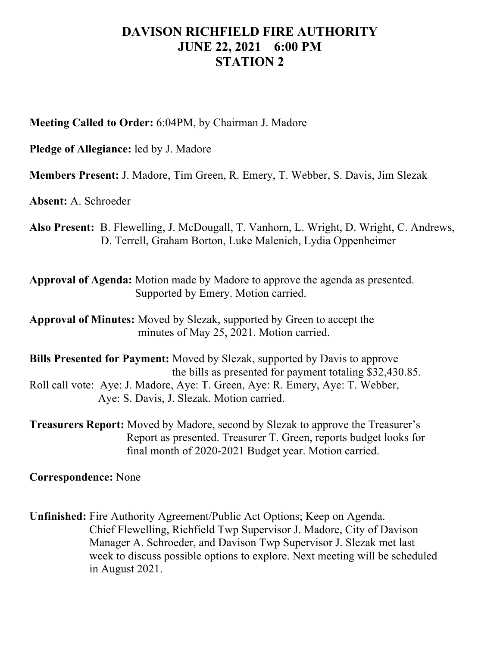## **DAVISON RICHFIELD FIRE AUTHORITY JUNE 22, 2021 6:00 PM STATION 2**

**Meeting Called to Order:** 6:04PM, by Chairman J. Madore

**Pledge of Allegiance:** led by J. Madore

**Members Present:** J. Madore, Tim Green, R. Emery, T. Webber, S. Davis, Jim Slezak

**Absent:** A. Schroeder

**Also Present:** B. Flewelling, J. McDougall, T. Vanhorn, L. Wright, D. Wright, C. Andrews, D. Terrell, Graham Borton, Luke Malenich, Lydia Oppenheimer

**Approval of Agenda:** Motion made by Madore to approve the agenda as presented. Supported by Emery. Motion carried.

**Approval of Minutes:** Moved by Slezak, supported by Green to accept the minutes of May 25, 2021. Motion carried.

**Bills Presented for Payment:** Moved by Slezak, supported by Davis to approve the bills as presented for payment totaling \$32,430.85. Roll call vote: Aye: J. Madore, Aye: T. Green, Aye: R. Emery, Aye: T. Webber, Aye: S. Davis, J. Slezak. Motion carried.

**Treasurers Report:** Moved by Madore, second by Slezak to approve the Treasurer's Report as presented. Treasurer T. Green, reports budget looks for final month of 2020-2021 Budget year. Motion carried.

**Correspondence:** None

**Unfinished:** Fire Authority Agreement/Public Act Options; Keep on Agenda. Chief Flewelling, Richfield Twp Supervisor J. Madore, City of Davison Manager A. Schroeder, and Davison Twp Supervisor J. Slezak met last week to discuss possible options to explore. Next meeting will be scheduled in August 2021.